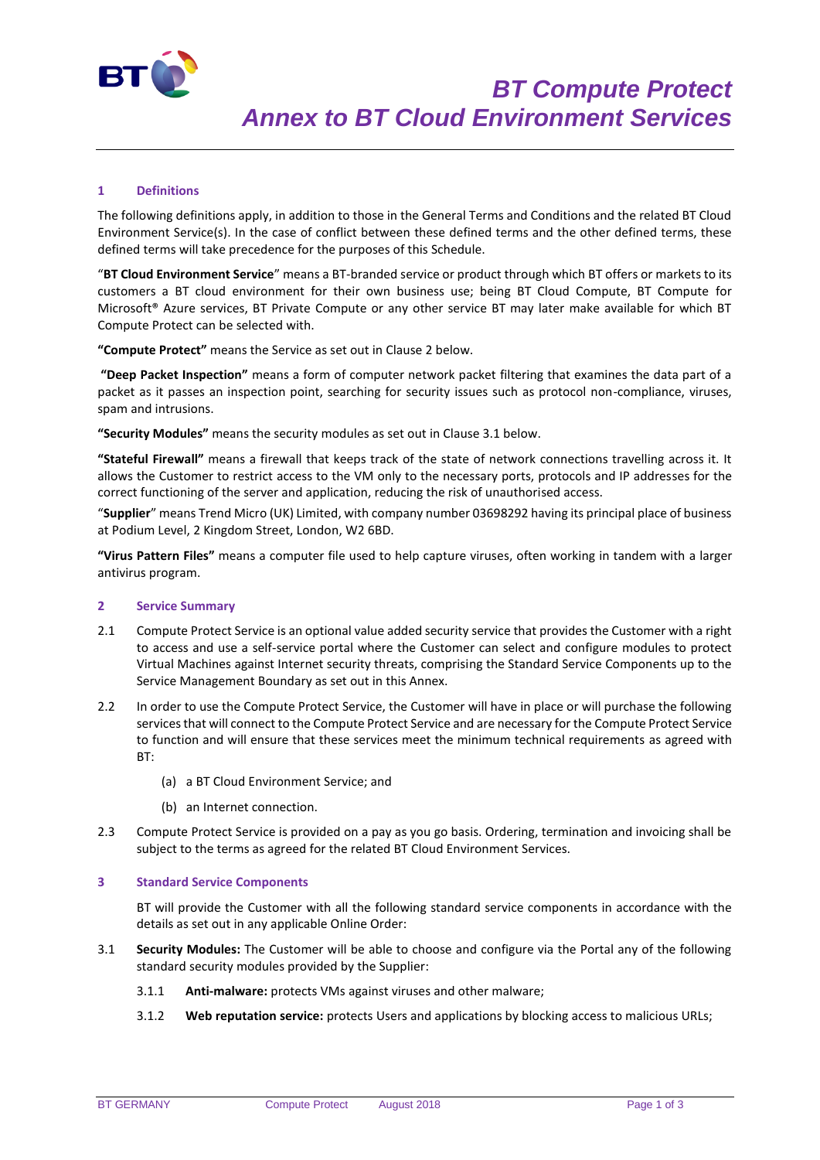

# **1 Definitions**

The following definitions apply, in addition to those in the General Terms and Conditions and the related BT Cloud Environment Service(s). In the case of conflict between these defined terms and the other defined terms, these defined terms will take precedence for the purposes of this Schedule.

"**BT Cloud Environment Service**" means a BT-branded service or product through which BT offers or markets to its customers a BT cloud environment for their own business use; being BT Cloud Compute, BT Compute for Microsoft® Azure services, BT Private Compute or any other service BT may later make available for which BT Compute Protect can be selected with.

**"Compute Protect"** means the Service as set out in Clause 2 below.

**"Deep Packet Inspection"** means a form of computer network packet filtering that examines the data part of a packet as it passes an inspection point, searching for security issues such as protocol non-compliance, viruses, spam and intrusions.

**"Security Modules"** means the security modules as set out in Clause 3.1 below.

**"Stateful Firewall"** means a firewall that keeps track of the state of network connections travelling across it. It allows the Customer to restrict access to the VM only to the necessary ports, protocols and IP addresses for the correct functioning of the server and application, reducing the risk of unauthorised access.

"**Supplier**" means Trend Micro (UK) Limited, with company number 03698292 having its principal place of business at Podium Level, 2 Kingdom Street, London, W2 6BD.

**"Virus Pattern Files"** means a computer file used to help capture viruses, often working in tandem with a larger antivirus program.

#### **2 Service Summary**

- 2.1 Compute Protect Service is an optional value added security service that provides the Customer with a right to access and use a self-service portal where the Customer can select and configure modules to protect Virtual Machines against Internet security threats, comprising the Standard Service Components up to the Service Management Boundary as set out in this Annex.
- 2.2 In order to use the Compute Protect Service, the Customer will have in place or will purchase the following services that will connect to the Compute Protect Service and are necessary for the Compute Protect Service to function and will ensure that these services meet the minimum technical requirements as agreed with BT:
	- (a) a BT Cloud Environment Service; and
	- (b) an Internet connection.
- 2.3 Compute Protect Service is provided on a pay as you go basis. Ordering, termination and invoicing shall be subject to the terms as agreed for the related BT Cloud Environment Services.

### **3 Standard Service Components**

BT will provide the Customer with all the following standard service components in accordance with the details as set out in any applicable Online Order:

- 3.1 **Security Modules:** The Customer will be able to choose and configure via the Portal any of the following standard security modules provided by the Supplier:
	- 3.1.1 **Anti-malware:** protects VMs against viruses and other malware;
	- 3.1.2 **Web reputation service:** protects Users and applications by blocking access to malicious URLs;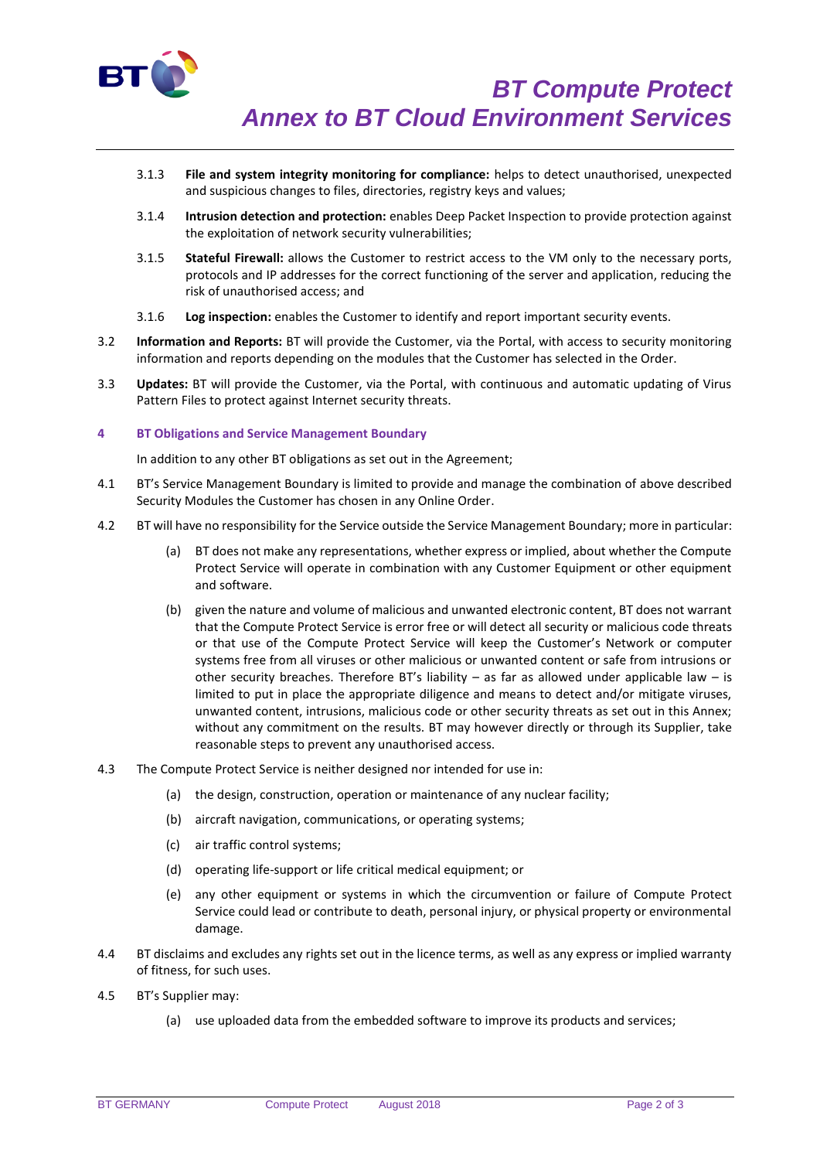

- 3.1.3 **File and system integrity monitoring for compliance:** helps to detect unauthorised, unexpected and suspicious changes to files, directories, registry keys and values;
- 3.1.4 **Intrusion detection and protection:** enables Deep Packet Inspection to provide protection against the exploitation of network security vulnerabilities;
- 3.1.5 **Stateful Firewall:** allows the Customer to restrict access to the VM only to the necessary ports, protocols and IP addresses for the correct functioning of the server and application, reducing the risk of unauthorised access; and
- 3.1.6 **Log inspection:** enables the Customer to identify and report important security events.
- 3.2 **Information and Reports:** BT will provide the Customer, via the Portal, with access to security monitoring information and reports depending on the modules that the Customer has selected in the Order.
- 3.3 **Updates:** BT will provide the Customer, via the Portal, with continuous and automatic updating of Virus Pattern Files to protect against Internet security threats.

## **4 BT Obligations and Service Management Boundary**

In addition to any other BT obligations as set out in the Agreement;

- 4.1 BT's Service Management Boundary is limited to provide and manage the combination of above described Security Modules the Customer has chosen in any Online Order.
- 4.2 BT will have no responsibility for the Service outside the Service Management Boundary; more in particular:
	- (a) BT does not make any representations, whether express or implied, about whether the Compute Protect Service will operate in combination with any Customer Equipment or other equipment and software.
	- (b) given the nature and volume of malicious and unwanted electronic content, BT does not warrant that the Compute Protect Service is error free or will detect all security or malicious code threats or that use of the Compute Protect Service will keep the Customer's Network or computer systems free from all viruses or other malicious or unwanted content or safe from intrusions or other security breaches. Therefore BT's liability – as far as allowed under applicable law – is limited to put in place the appropriate diligence and means to detect and/or mitigate viruses, unwanted content, intrusions, malicious code or other security threats as set out in this Annex; without any commitment on the results. BT may however directly or through its Supplier, take reasonable steps to prevent any unauthorised access.
- 4.3 The Compute Protect Service is neither designed nor intended for use in:
	- (a) the design, construction, operation or maintenance of any nuclear facility;
	- (b) aircraft navigation, communications, or operating systems;
	- (c) air traffic control systems;
	- (d) operating life-support or life critical medical equipment; or
	- (e) any other equipment or systems in which the circumvention or failure of Compute Protect Service could lead or contribute to death, personal injury, or physical property or environmental damage.
- 4.4 BT disclaims and excludes any rights set out in the licence terms, as well as any express or implied warranty of fitness, for such uses.
- 4.5 BT's Supplier may:
	- (a) use uploaded data from the embedded software to improve its products and services;